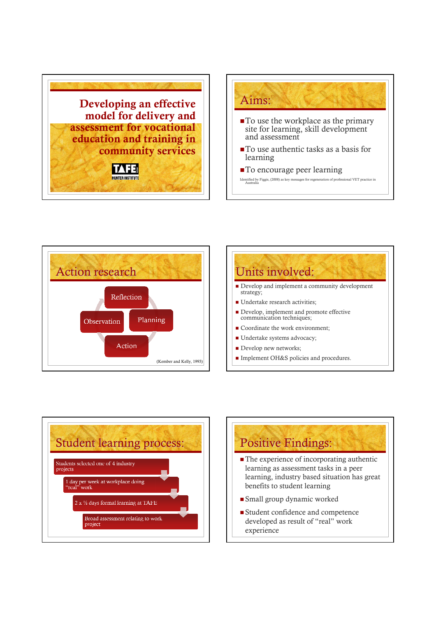